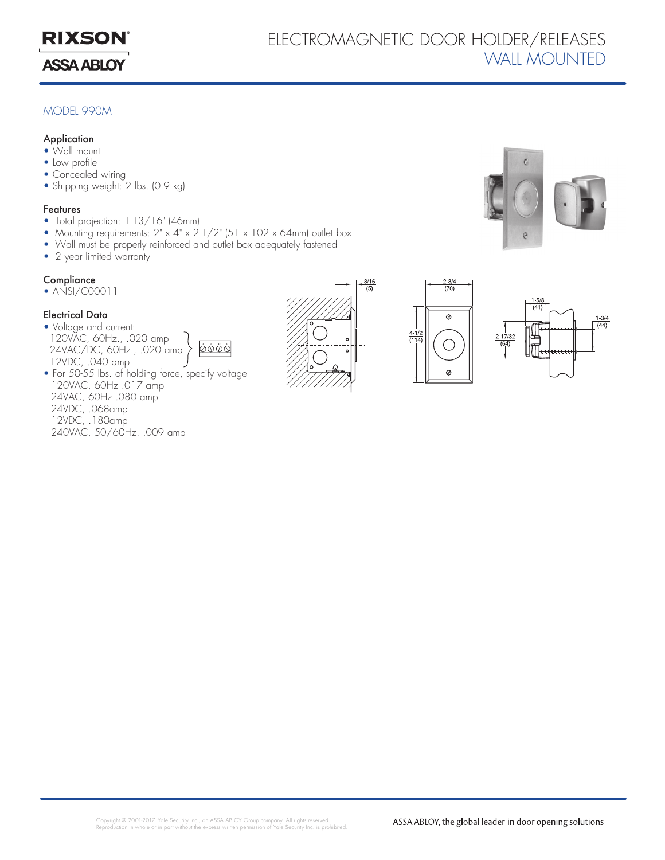

## Electromagnetic Door Holder/Releases WALL MOUNTED

### MODEL 990M

#### **Application**

- Wall mount
- Low profile
- Concealed wiring
- Shipping weight: 2 lbs. (0.9 kg)

#### Features

- Total projection: 1-13/16" (46mm)
- Mounting requirements: 2" x 4" x 2-1/2" (51 x 102 x 64mm) outlet box
- Wall must be properly reinforced and outlet box adequately fastened
- 2 year limited warranty

### **Compliance**

• ANSI/C00011

### Electrical Data

- Voltage and current: 120VAC, 60Hz., .020 amp 24VAC/DC, 60Hz., .020 amp 12VDC, .040 amp
	- <u> 0000 </u>
- For 50-55 lbs. of holding force, specify voltage 120VAC, 60Hz .017 amp 24VAC, 60Hz .080 amp 24VDC, .068amp 12VDC, .180amp 240VAC, 50/60Hz. .009 amp







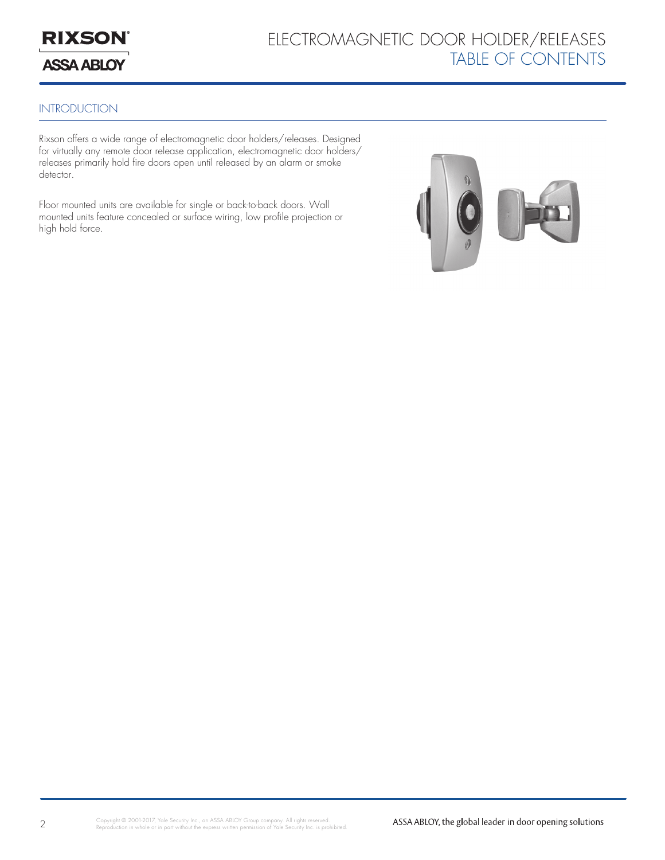

# Electromagnetic Door Holder/Releases Table of Contents

### **INTRODUCTION**

Rixson offers a wide range of electromagnetic door holders/releases. Designed for virtually any remote door release application, electromagnetic door holders/ releases primarily hold fire doors open until released by an alarm or smoke detector.

Floor mounted units are available for single or back-to-back doors. Wall mounted units feature concealed or surface wiring, low profile projection or high hold force.

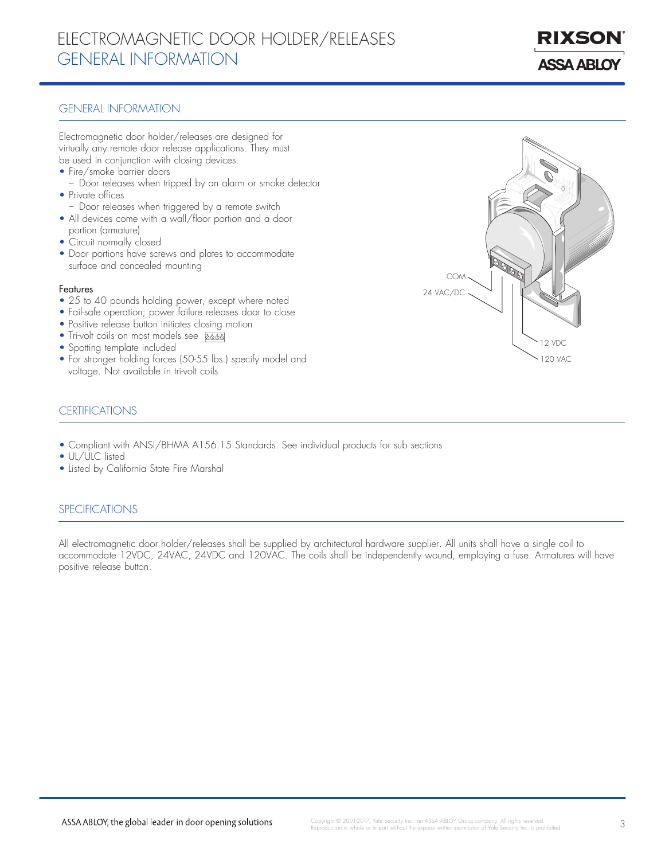## Electromagnetic Door Holder/Releases general information

**ASSA ABLOY** 

RIXSO

### General Information

Electromagnetic door holder/releases are designed for virtually any remote door release applications. They must be used in conjunction with closing devices.

- Fire/smoke barrier doors
- Door releases when tripped by an alarm or smoke detector • Private offices
- Door releases when triggered by a remote switch
- All devices come with a wall/floor portion and a door portion (armature)
- Circuit normally closed
- Door portions have screws and plates to accommodate surface and concealed mounting

#### Features

- 25 to 40 pounds holding power, except where noted
- Fail-safe operation; power failure releases door to close
- Positive release button initiates closing motion
- Tri-volt coils on most models see **boot**
- Spotting template included
- For stronger holding forces (50-55 lbs.) specify model and voltage. Not available in tri-volt coils



### certifications

- Compliant with ANSI/BHMA A156.15 Standards. See individual products for sub sections
- UL/ULC listed
- Listed by California State Fire Marshal

### **SPECIFICATIONS**

All electromagnetic door holder/releases shall be supplied by architectural hardware supplier. All units shall have a single coil to accommodate 12VDC, 24VAC, 24VDC and 120VAC. The coils shall be independently wound, employing a fuse. Armatures will have positive release button.